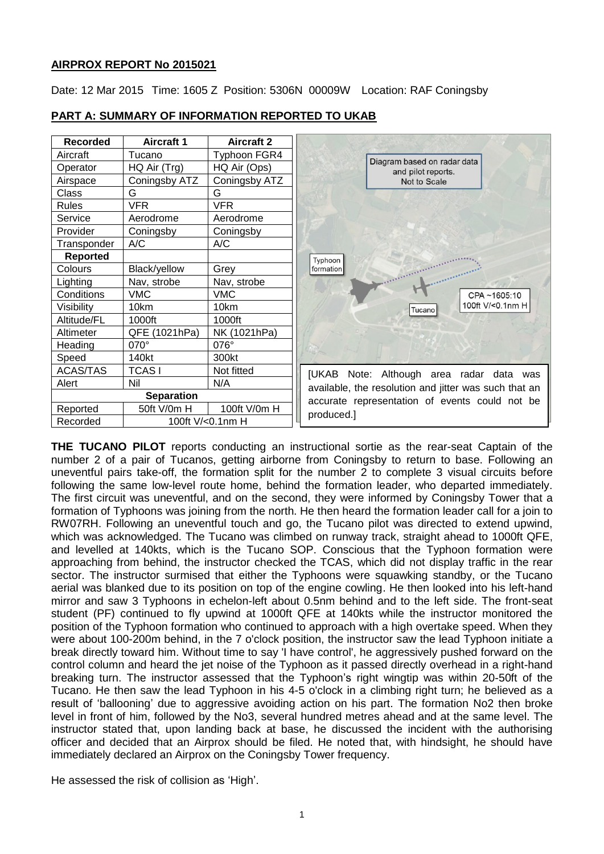# **AIRPROX REPORT No 2015021**

Date: 12 Mar 2015 Time: 1605 Z Position: 5306N 00009W Location: RAF Coningsby

| <b>Recorded</b>   | <b>Aircraft 1</b> | <b>Aircraft 2</b>   |                                                       |  |
|-------------------|-------------------|---------------------|-------------------------------------------------------|--|
| Aircraft          | Tucano            | <b>Typhoon FGR4</b> | Diagram based on radar data                           |  |
| Operator          | $HQ$ Air $(Trg)$  | HQ Air (Ops)        | and pilot reports.                                    |  |
| Airspace          | Coningsby ATZ     | Coningsby ATZ       | Not to Scale                                          |  |
| Class             | G                 | G                   |                                                       |  |
| <b>Rules</b>      | <b>VFR</b>        | <b>VFR</b>          |                                                       |  |
| Service           | Aerodrome         | Aerodrome           |                                                       |  |
| Provider          | Coningsby         | Coningsby           |                                                       |  |
| Transponder       | A/C               | A/C                 |                                                       |  |
| <b>Reported</b>   |                   |                     | Typhoon                                               |  |
| Colours           | Black/yellow      | Grey                | formation                                             |  |
| Lighting          | Nav, strobe       | Nav, strobe         |                                                       |  |
| Conditions        | <b>VMC</b>        | <b>VMC</b>          | CPA~1605:10                                           |  |
| Visibility        | 10km              | 10km                | 100ft V/<0.1nm H<br>Tucano                            |  |
| Altitude/FL       | 1000ft            | 1000ft              |                                                       |  |
| Altimeter         | QFE (1021hPa)     | NK (1021hPa)        |                                                       |  |
| Heading           | 070°              | 076°                |                                                       |  |
| Speed             | 140kt             | 300kt               |                                                       |  |
| <b>ACAS/TAS</b>   | <b>TCASI</b>      | Not fitted          | [UKAB Note: Although area radar data was              |  |
| Alert             | Nil               | N/A                 | available, the resolution and jitter was such that an |  |
| <b>Separation</b> |                   |                     | accurate representation of events could not be        |  |
| Reported          | 50ft V/0m H       | 100ft V/0m H        | produced.]                                            |  |
| Recorded          | 100ft V/<0.1nm H  |                     |                                                       |  |

**PART A: SUMMARY OF INFORMATION REPORTED TO UKAB**

**THE TUCANO PILOT** reports conducting an instructional sortie as the rear-seat Captain of the number 2 of a pair of Tucanos, getting airborne from Coningsby to return to base. Following an uneventful pairs take-off, the formation split for the number 2 to complete 3 visual circuits before following the same low-level route home, behind the formation leader, who departed immediately. The first circuit was uneventful, and on the second, they were informed by Coningsby Tower that a formation of Typhoons was joining from the north. He then heard the formation leader call for a join to RW07RH. Following an uneventful touch and go, the Tucano pilot was directed to extend upwind, which was acknowledged. The Tucano was climbed on runway track, straight ahead to 1000ft QFE, and levelled at 140kts, which is the Tucano SOP. Conscious that the Typhoon formation were approaching from behind, the instructor checked the TCAS, which did not display traffic in the rear sector. The instructor surmised that either the Typhoons were squawking standby, or the Tucano aerial was blanked due to its position on top of the engine cowling. He then looked into his left-hand mirror and saw 3 Typhoons in echelon-left about 0.5nm behind and to the left side. The front-seat student (PF) continued to fly upwind at 1000ft QFE at 140kts while the instructor monitored the position of the Typhoon formation who continued to approach with a high overtake speed. When they were about 100-200m behind, in the 7 o'clock position, the instructor saw the lead Typhoon initiate a break directly toward him. Without time to say 'I have control', he aggressively pushed forward on the control column and heard the jet noise of the Typhoon as it passed directly overhead in a right-hand breaking turn. The instructor assessed that the Typhoon's right wingtip was within 20-50ft of the Tucano. He then saw the lead Typhoon in his 4-5 o'clock in a climbing right turn; he believed as a result of 'ballooning' due to aggressive avoiding action on his part. The formation No2 then broke level in front of him, followed by the No3, several hundred metres ahead and at the same level. The instructor stated that, upon landing back at base, he discussed the incident with the authorising officer and decided that an Airprox should be filed. He noted that, with hindsight, he should have immediately declared an Airprox on the Coningsby Tower frequency.

He assessed the risk of collision as 'High'.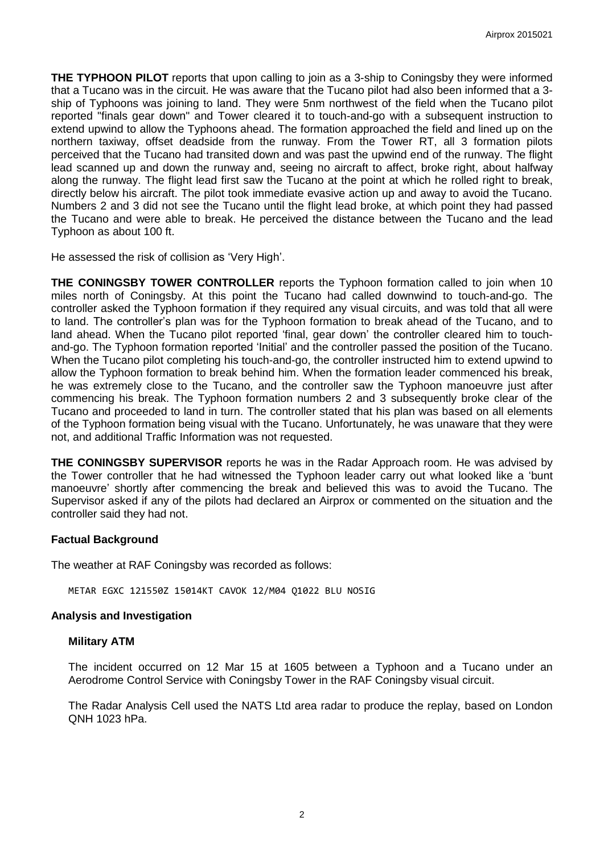**THE TYPHOON PILOT** reports that upon calling to join as a 3-ship to Coningsby they were informed that a Tucano was in the circuit. He was aware that the Tucano pilot had also been informed that a 3 ship of Typhoons was joining to land. They were 5nm northwest of the field when the Tucano pilot reported "finals gear down" and Tower cleared it to touch-and-go with a subsequent instruction to extend upwind to allow the Typhoons ahead. The formation approached the field and lined up on the northern taxiway, offset deadside from the runway. From the Tower RT, all 3 formation pilots perceived that the Tucano had transited down and was past the upwind end of the runway. The flight lead scanned up and down the runway and, seeing no aircraft to affect, broke right, about halfway along the runway. The flight lead first saw the Tucano at the point at which he rolled right to break, directly below his aircraft. The pilot took immediate evasive action up and away to avoid the Tucano. Numbers 2 and 3 did not see the Tucano until the flight lead broke, at which point they had passed the Tucano and were able to break. He perceived the distance between the Tucano and the lead Typhoon as about 100 ft.

He assessed the risk of collision as 'Very High'.

**THE CONINGSBY TOWER CONTROLLER** reports the Typhoon formation called to join when 10 miles north of Coningsby. At this point the Tucano had called downwind to touch-and-go. The controller asked the Typhoon formation if they required any visual circuits, and was told that all were to land. The controller's plan was for the Typhoon formation to break ahead of the Tucano, and to land ahead. When the Tucano pilot reported 'final, gear down' the controller cleared him to touchand-go. The Typhoon formation reported 'Initial' and the controller passed the position of the Tucano. When the Tucano pilot completing his touch-and-go, the controller instructed him to extend upwind to allow the Typhoon formation to break behind him. When the formation leader commenced his break, he was extremely close to the Tucano, and the controller saw the Typhoon manoeuvre just after commencing his break. The Typhoon formation numbers 2 and 3 subsequently broke clear of the Tucano and proceeded to land in turn. The controller stated that his plan was based on all elements of the Typhoon formation being visual with the Tucano. Unfortunately, he was unaware that they were not, and additional Traffic Information was not requested.

**THE CONINGSBY SUPERVISOR** reports he was in the Radar Approach room. He was advised by the Tower controller that he had witnessed the Typhoon leader carry out what looked like a 'bunt manoeuvre' shortly after commencing the break and believed this was to avoid the Tucano. The Supervisor asked if any of the pilots had declared an Airprox or commented on the situation and the controller said they had not.

#### **Factual Background**

The weather at RAF Coningsby was recorded as follows:

METAR EGXC 121550Z 15014KT CAVOK 12/M04 Q1022 BLU NOSIG

### **Analysis and Investigation**

### **Military ATM**

The incident occurred on 12 Mar 15 at 1605 between a Typhoon and a Tucano under an Aerodrome Control Service with Coningsby Tower in the RAF Coningsby visual circuit.

The Radar Analysis Cell used the NATS Ltd area radar to produce the replay, based on London QNH 1023 hPa.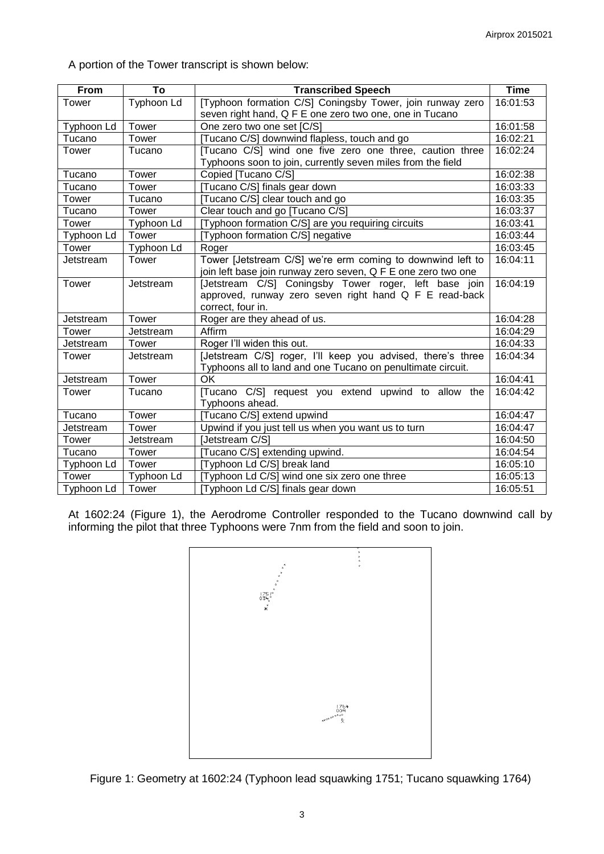A portion of the Tower transcript is shown below:

| From       | To         | <b>Transcribed Speech</b>                                     | <b>Time</b> |
|------------|------------|---------------------------------------------------------------|-------------|
| Tower      | Typhoon Ld | [Typhoon formation C/S] Coningsby Tower, join runway zero     | 16:01:53    |
|            |            | seven right hand, Q F E one zero two one, one in Tucano       |             |
| Typhoon Ld | Tower      | One zero two one set [C/S]                                    | 16:01:58    |
| Tucano     | Tower      | [Tucano C/S] downwind flapless, touch and go                  | 16:02:21    |
| Tower      | Tucano     | [Tucano C/S] wind one five zero one three, caution three      | 16:02:24    |
|            |            | Typhoons soon to join, currently seven miles from the field   |             |
| Tucano     | Tower      | Copied [Tucano C/S]                                           | 16:02:38    |
| Tucano     | Tower      | [Tucano C/S] finals gear down                                 | 16:03:33    |
| Tower      | Tucano     | [Tucano C/S] clear touch and go                               | 16:03:35    |
| Tucano     | Tower      | Clear touch and go [Tucano C/S]                               | 16:03:37    |
| Tower      | Typhoon Ld | [Typhoon formation C/S] are you requiring circuits            | 16:03:41    |
| Typhoon Ld | Tower      | [Typhoon formation C/S] negative                              | 16:03:44    |
| Tower      | Typhoon Ld | Roger                                                         | 16:03:45    |
| Jetstream  | Tower      | Tower [Jetstream C/S] we're erm coming to downwind left to    | 16:04:11    |
|            |            | join left base join runway zero seven, Q F E one zero two one |             |
| Tower      | Jetstream  | [Jetstream C/S] Coningsby Tower roger, left base join         | 16:04:19    |
|            |            | approved, runway zero seven right hand Q F E read-back        |             |
|            |            | correct, four in.                                             |             |
| Jetstream  | Tower      | Roger are they ahead of us.                                   | 16:04:28    |
| Tower      | Jetstream  | Affirm                                                        | 16:04:29    |
| Jetstream  | Tower      | Roger I'll widen this out.                                    | 16:04:33    |
| Tower      | Jetstream  | [Jetstream C/S] roger, I'll keep you advised, there's three   | 16:04:34    |
|            |            | Typhoons all to land and one Tucano on penultimate circuit.   |             |
| Jetstream  | Tower      | OK                                                            | 16:04:41    |
| Tower      | Tucano     | [Tucano C/S] request you extend upwind to allow the           | 16:04:42    |
|            |            | Typhoons ahead.                                               |             |
| Tucano     | Tower      | [Tucano C/S] extend upwind                                    | 16:04:47    |
| Jetstream  | Tower      | Upwind if you just tell us when you want us to turn           | 16:04:47    |
| Tower      | Jetstream  | [Jetstream C/S]                                               | 16:04:50    |
| Tucano     | Tower      | [Tucano C/S] extending upwind.                                | 16:04:54    |
| Typhoon Ld | Tower      | [Typhoon Ld C/S] break land                                   | 16:05:10    |
| Tower      | Typhoon Ld | [Typhoon Ld C/S] wind one six zero one three                  | 16:05:13    |
| Typhoon Ld | Tower      | [Typhoon Ld C/S] finals gear down                             | 16:05:51    |

At 1602:24 (Figure 1), the Aerodrome Controller responded to the Tucano downwind call by informing the pilot that three Typhoons were 7nm from the field and soon to join.



Figure 1: Geometry at 1602:24 (Typhoon lead squawking 1751; Tucano squawking 1764)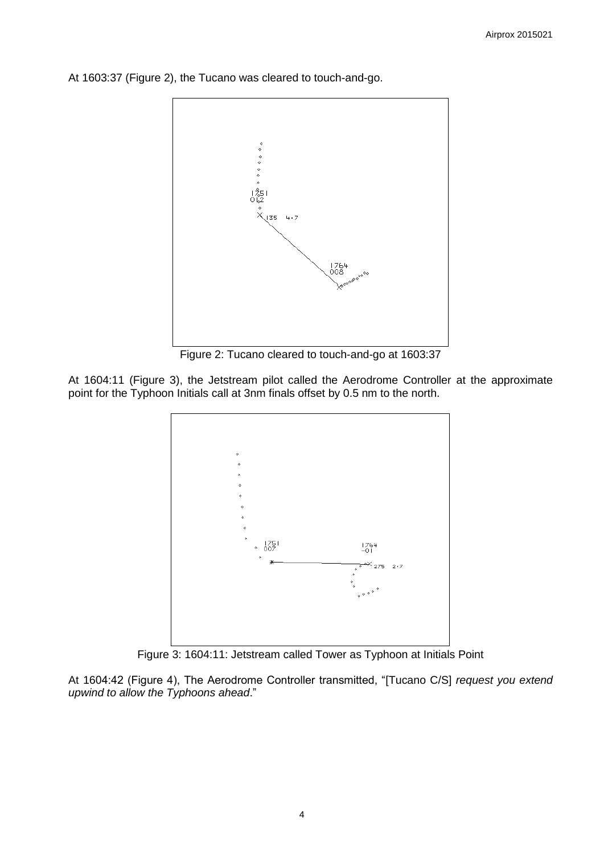

At 1603:37 (Figure 2), the Tucano was cleared to touch-and-go.

Figure 2: Tucano cleared to touch-and-go at 1603:37

At 1604:11 (Figure 3), the Jetstream pilot called the Aerodrome Controller at the approximate point for the Typhoon Initials call at 3nm finals offset by 0.5 nm to the north.



Figure 3: 1604:11: Jetstream called Tower as Typhoon at Initials Point

At 1604:42 (Figure 4), The Aerodrome Controller transmitted, "[Tucano C/S] *request you extend upwind to allow the Typhoons ahead*."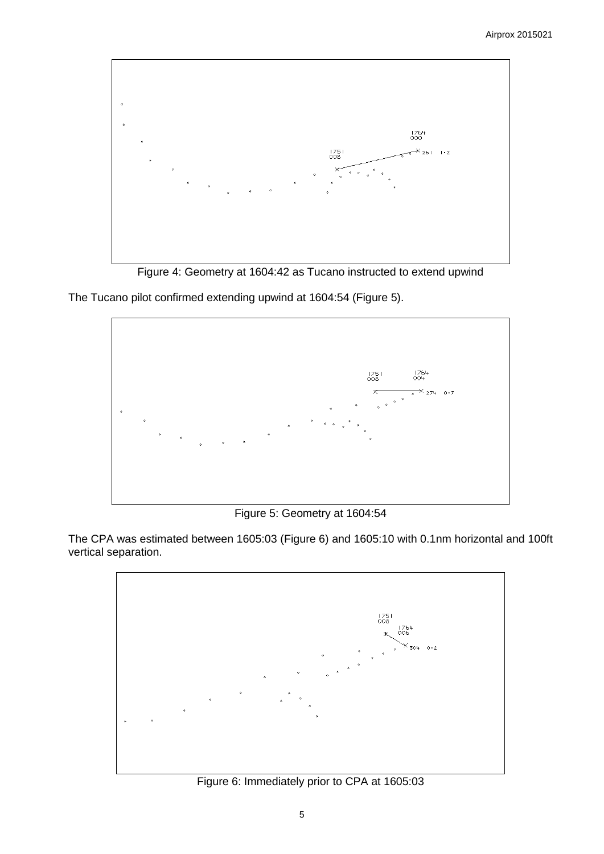

Figure 4: Geometry at 1604:42 as Tucano instructed to extend upwind

The Tucano pilot confirmed extending upwind at 1604:54 (Figure 5).



Figure 5: Geometry at 1604:54

The CPA was estimated between 1605:03 (Figure 6) and 1605:10 with 0.1nm horizontal and 100ft vertical separation.



Figure 6: Immediately prior to CPA at 1605:03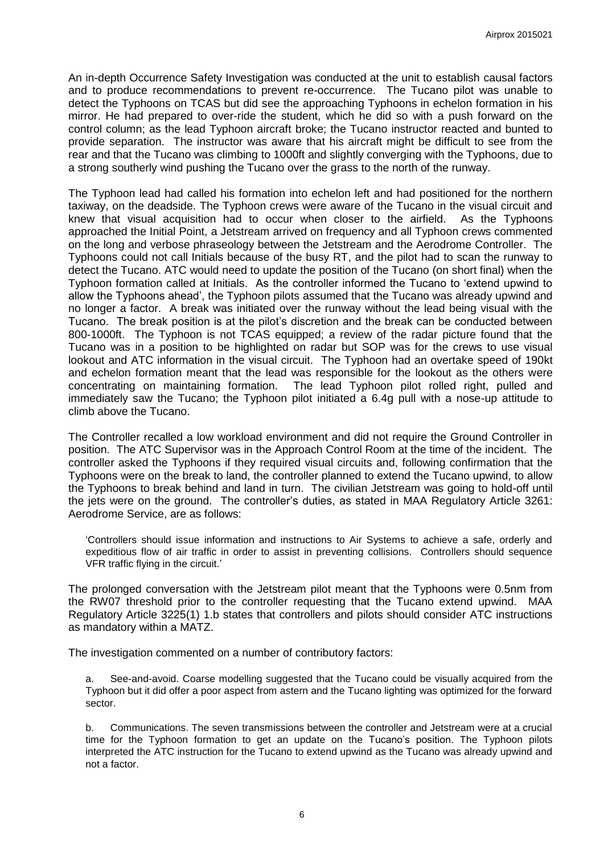An in-depth Occurrence Safety Investigation was conducted at the unit to establish causal factors and to produce recommendations to prevent re-occurrence. The Tucano pilot was unable to detect the Typhoons on TCAS but did see the approaching Typhoons in echelon formation in his mirror. He had prepared to over-ride the student, which he did so with a push forward on the control column; as the lead Typhoon aircraft broke; the Tucano instructor reacted and bunted to provide separation. The instructor was aware that his aircraft might be difficult to see from the rear and that the Tucano was climbing to 1000ft and slightly converging with the Typhoons, due to a strong southerly wind pushing the Tucano over the grass to the north of the runway.

The Typhoon lead had called his formation into echelon left and had positioned for the northern taxiway, on the deadside. The Typhoon crews were aware of the Tucano in the visual circuit and knew that visual acquisition had to occur when closer to the airfield. As the Typhoons approached the Initial Point, a Jetstream arrived on frequency and all Typhoon crews commented on the long and verbose phraseology between the Jetstream and the Aerodrome Controller. The Typhoons could not call Initials because of the busy RT, and the pilot had to scan the runway to detect the Tucano. ATC would need to update the position of the Tucano (on short final) when the Typhoon formation called at Initials. As the controller informed the Tucano to 'extend upwind to allow the Typhoons ahead', the Typhoon pilots assumed that the Tucano was already upwind and no longer a factor. A break was initiated over the runway without the lead being visual with the Tucano. The break position is at the pilot's discretion and the break can be conducted between 800-1000ft. The Typhoon is not TCAS equipped; a review of the radar picture found that the Tucano was in a position to be highlighted on radar but SOP was for the crews to use visual lookout and ATC information in the visual circuit. The Typhoon had an overtake speed of 190kt and echelon formation meant that the lead was responsible for the lookout as the others were concentrating on maintaining formation. The lead Typhoon pilot rolled right, pulled and immediately saw the Tucano; the Typhoon pilot initiated a 6.4g pull with a nose-up attitude to climb above the Tucano.

The Controller recalled a low workload environment and did not require the Ground Controller in position. The ATC Supervisor was in the Approach Control Room at the time of the incident. The controller asked the Typhoons if they required visual circuits and, following confirmation that the Typhoons were on the break to land, the controller planned to extend the Tucano upwind, to allow the Typhoons to break behind and land in turn. The civilian Jetstream was going to hold-off until the jets were on the ground. The controller's duties, as stated in MAA Regulatory Article 3261: Aerodrome Service, are as follows:

'Controllers should issue information and instructions to Air Systems to achieve a safe, orderly and expeditious flow of air traffic in order to assist in preventing collisions. Controllers should sequence VFR traffic flying in the circuit.'

The prolonged conversation with the Jetstream pilot meant that the Typhoons were 0.5nm from the RW07 threshold prior to the controller requesting that the Tucano extend upwind. MAA Regulatory Article 3225(1) 1.b states that controllers and pilots should consider ATC instructions as mandatory within a MATZ.

The investigation commented on a number of contributory factors:

a. See-and-avoid. Coarse modelling suggested that the Tucano could be visually acquired from the Typhoon but it did offer a poor aspect from astern and the Tucano lighting was optimized for the forward sector.

b. Communications. The seven transmissions between the controller and Jetstream were at a crucial time for the Typhoon formation to get an update on the Tucano's position. The Typhoon pilots interpreted the ATC instruction for the Tucano to extend upwind as the Tucano was already upwind and not a factor.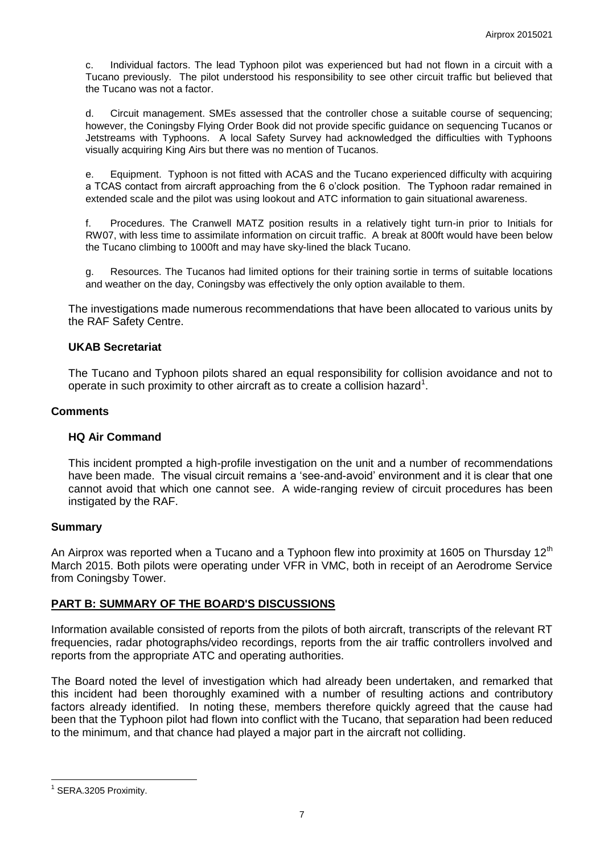c. Individual factors. The lead Typhoon pilot was experienced but had not flown in a circuit with a Tucano previously. The pilot understood his responsibility to see other circuit traffic but believed that the Tucano was not a factor.

d. Circuit management. SMEs assessed that the controller chose a suitable course of sequencing; however, the Coningsby Flying Order Book did not provide specific guidance on sequencing Tucanos or Jetstreams with Typhoons. A local Safety Survey had acknowledged the difficulties with Typhoons visually acquiring King Airs but there was no mention of Tucanos.

e. Equipment. Typhoon is not fitted with ACAS and the Tucano experienced difficulty with acquiring a TCAS contact from aircraft approaching from the 6 o'clock position. The Typhoon radar remained in extended scale and the pilot was using lookout and ATC information to gain situational awareness.

f. Procedures. The Cranwell MATZ position results in a relatively tight turn-in prior to Initials for RW07, with less time to assimilate information on circuit traffic. A break at 800ft would have been below the Tucano climbing to 1000ft and may have sky-lined the black Tucano.

g. Resources. The Tucanos had limited options for their training sortie in terms of suitable locations and weather on the day, Coningsby was effectively the only option available to them.

The investigations made numerous recommendations that have been allocated to various units by the RAF Safety Centre.

#### **UKAB Secretariat**

The Tucano and Typhoon pilots shared an equal responsibility for collision avoidance and not to operate in such proximity to other aircraft as to create a collision hazard<sup>1</sup>.

#### **Comments**

#### **HQ Air Command**

This incident prompted a high-profile investigation on the unit and a number of recommendations have been made. The visual circuit remains a 'see-and-avoid' environment and it is clear that one cannot avoid that which one cannot see. A wide-ranging review of circuit procedures has been instigated by the RAF.

# **Summary**

An Airprox was reported when a Tucano and a Typhoon flew into proximity at 1605 on Thursday 12<sup>th</sup> March 2015. Both pilots were operating under VFR in VMC, both in receipt of an Aerodrome Service from Coningsby Tower.

#### **PART B: SUMMARY OF THE BOARD'S DISCUSSIONS**

Information available consisted of reports from the pilots of both aircraft, transcripts of the relevant RT frequencies, radar photographs/video recordings, reports from the air traffic controllers involved and reports from the appropriate ATC and operating authorities.

The Board noted the level of investigation which had already been undertaken, and remarked that this incident had been thoroughly examined with a number of resulting actions and contributory factors already identified. In noting these, members therefore quickly agreed that the cause had been that the Typhoon pilot had flown into conflict with the Tucano, that separation had been reduced to the minimum, and that chance had played a major part in the aircraft not colliding.

 $\overline{a}$ 

<sup>&</sup>lt;sup>1</sup> SERA.3205 Proximity.